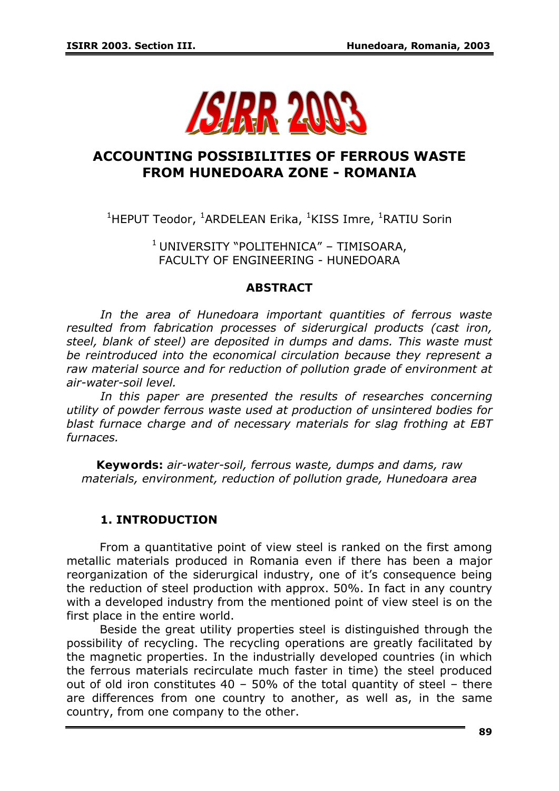

# **ACCOUNTING POSSIBILITIES OF FERROUS WASTE FROM HUNEDOARA ZONE - ROMANIA**

<sup>1</sup>HEPUT Teodor, <sup>1</sup>ARDELEAN Erika, <sup>1</sup>KISS Imre, <sup>1</sup>RATIU Sorin

<sup>1</sup> UNIVERSITY "POLITEHNICA" – TIMISOARA, FACULTY OF ENGINEERING - HUNEDOARA

#### *ABSTRACT*

*In the area of Hunedoara important quantities of ferrous waste resulted from fabrication processes of siderurgical products (cast iron, steel, blank of steel) are deposited in dumps and dams. This waste must be reintroduced into the economical circulation because they represent a raw material source and for reduction of pollution grade of environment at air-water-soil level.* 

In this paper are presented the results of researches concerning *utility of powder ferrous waste used at production of unsintered bodies for blast furnace charge and of necessary materials for slag frothing at EBT furnaces.* 

*Keywords: air-water-soil, ferrous waste, dumps and dams, raw materials, environment, reduction of pollution grade, Hunedoara area* 

### **1. INTRODUCTION**

From a quantitative point of view steel is ranked on the first among metallic materials produced in Romania even if there has been a major reorganization of the siderurgical industry, one of it's consequence being the reduction of steel production with approx. 50%. In fact in any country with a developed industry from the mentioned point of view steel is on the first place in the entire world.

Beside the great utility properties steel is distinguished through the possibility of recycling. The recycling operations are greatly facilitated by the magnetic properties. In the industrially developed countries (in which the ferrous materials recirculate much faster in time) the steel produced out of old iron constitutes 40 – 50% of the total quantity of steel – there are differences from one country to another, as well as, in the same country, from one company to the other.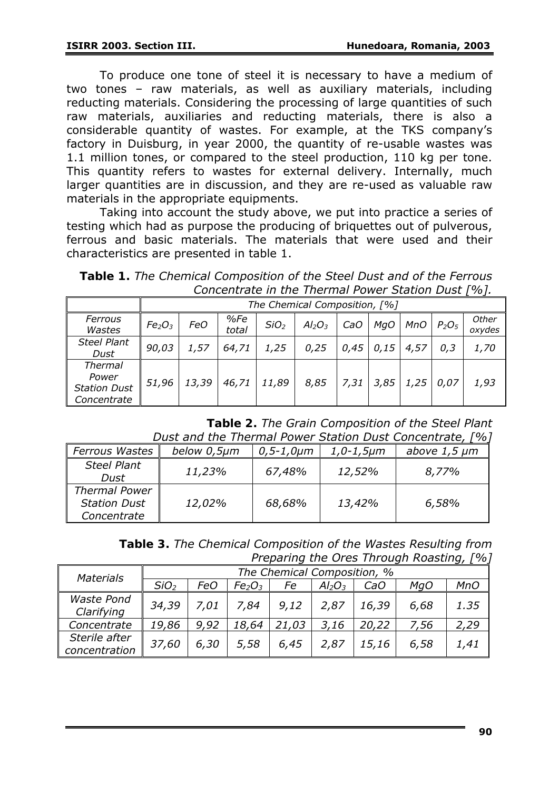To produce one tone of steel it is necessary to have a medium of two tones – raw materials, as well as auxiliary materials, including reducting materials. Considering the processing of large quantities of such raw materials, auxiliaries and reducting materials, there is also a considerable quantity of wastes. For example, at the TKS company's factory in Duisburg, in year 2000, the quantity of re-usable wastes was 1.1 million tones, or compared to the steel production, 110 kg per tone. This quantity refers to wastes for external delivery. Internally, much larger quantities are in discussion, and they are re-used as valuable raw materials in the appropriate equipments.

Taking into account the study above, we put into practice a series of testing which had as purpose the producing of briquettes out of pulverous, ferrous and basic materials. The materials that were used and their characteristics are presented in table 1.

*Table 1. The Chemical Composition of the Steel Dust and of the Ferrous Concentrate in the Thermal Power Station Dust [%].*

|                                                               |                                | The Chemical Composition, [%] |              |                  |           |      |      |            |          |                 |  |  |
|---------------------------------------------------------------|--------------------------------|-------------------------------|--------------|------------------|-----------|------|------|------------|----------|-----------------|--|--|
| Ferrous<br>Wastes                                             | Fe <sub>2</sub> O <sub>3</sub> | <b>FeO</b>                    | %Fe<br>total | SiO <sub>2</sub> | $Al_2O_3$ | CaO  | MgO  | <b>MnO</b> | $P_2O_5$ | Other<br>oxydes |  |  |
| <b>Steel Plant</b><br>Dust                                    | 90,03                          | 1,57                          | 64,71        | 1,25             | 0,25      | 0,45 | 0,15 | 4,57       | 0,3      | 1,70            |  |  |
| <b>Thermal</b><br>Power<br><b>Station Dust</b><br>Concentrate | 51,96                          | 13,39                         | 46,71        | 11,89            | 8,85      | 7,31 | 3,85 | 1,25       | 0,07     | 1,93            |  |  |

*Table 2. The Grain Composition of the Steel Plant Dust and the Thermal Power Station Dust Concentrate, [%]*

| <b>Ferrous Wastes</b>                                      | below 0,5µm | $0, 5 - 1, 0 \mu m$ | $1,0-1,5 \mu m$ | above $1,5 \mu m$ |  |  |  |  |  |
|------------------------------------------------------------|-------------|---------------------|-----------------|-------------------|--|--|--|--|--|
| <b>Steel Plant</b><br>Dust                                 | 11,23%      | 67,48%              | 12,52%          | 8,77%             |  |  |  |  |  |
| <b>Thermal Power</b><br><b>Station Dust</b><br>Concentrate | 12,02%      | 68,68%              | 13,42%          | 6,58%             |  |  |  |  |  |

*Table 3. The Chemical Composition of the Wastes Resulting from Preparing the Ores Through Roasting, [%]* 

| <b>Materials</b>                | The Chemical Composition, % |      |                                |       |           |       |      |            |  |  |
|---------------------------------|-----------------------------|------|--------------------------------|-------|-----------|-------|------|------------|--|--|
|                                 | SiO <sub>2</sub>            | FeO  | Fe <sub>2</sub> O <sub>3</sub> | Fe    | $Al_2O_3$ | CaO   | MgO  | <b>MnO</b> |  |  |
| <b>Waste Pond</b><br>Clarifying | 34,39                       | 7,01 | 7,84                           | 9,12  | 2,87      | 16,39 | 6,68 | 1.35       |  |  |
| Concentrate                     | 19,86                       | 9,92 | 18,64                          | 21,03 | 3,16      | 20,22 | 7,56 | 2,29       |  |  |
| Sterile after<br>concentration  | 37,60                       | 6,30 | 5,58                           | 6,45  | 2,87      | 15,16 | 6,58 | 1,41       |  |  |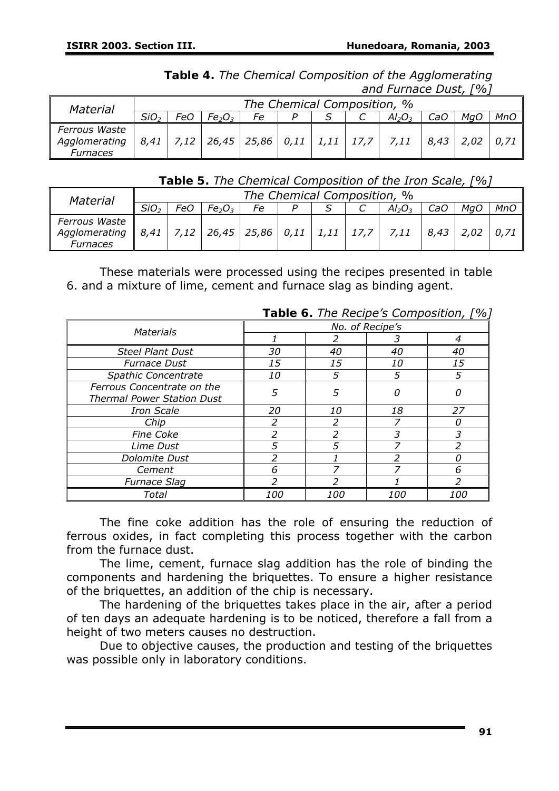*Table 4. The Chemical Composition of the Agglomerating and Furnace Dust, [%]* 

| Material                                          |                  |     |                                                    |    |  | The Chemical Composition, % |             |     |     |
|---------------------------------------------------|------------------|-----|----------------------------------------------------|----|--|-----------------------------|-------------|-----|-----|
|                                                   | SiO <sub>2</sub> | FeO | Fe <sub>2</sub> O <sub>3</sub>                     | Fe |  | $Al_2O_3$                   | CaO         | Ma( | MnO |
| Ferrous Waste<br>Agglomerating<br><b>Furnaces</b> |                  |     | $8,41$   7,12   26,45   25,86   0,11   1,11   17,7 |    |  | (1, 7, 11, 1)               | $8,43$ 2,02 |     |     |

#### *Table 5. The Chemical Composition of the Iron Scale, [%]*

| <b>Material</b>                            |                  | The Chemical Composition, % |                                |                                                              |  |  |  |           |      |      |     |
|--------------------------------------------|------------------|-----------------------------|--------------------------------|--------------------------------------------------------------|--|--|--|-----------|------|------|-----|
|                                            | SiO <sub>2</sub> | FeO                         | Fe <sub>2</sub> O <sub>3</sub> | Fe                                                           |  |  |  | $Al_2O_3$ | CaO  |      | MnC |
| Ferrous Waste<br>Agglomerating<br>Furnaces |                  |                             |                                | $\ $ 8,41   7,12   26,45   25,86   0,11   1,11   17,7   7,11 |  |  |  |           | 8,43 | 2.02 |     |

These materials were processed using the recipes presented in table 6. and a mixture of lime, cement and furnace slag as binding agent.

|                                   |                 | <b>I able 6.</b> The Recipe's Composition, 1 70 |            |            |  |  |  |
|-----------------------------------|-----------------|-------------------------------------------------|------------|------------|--|--|--|
| <b>Materials</b>                  | No. of Recipe's |                                                 |            |            |  |  |  |
|                                   |                 |                                                 |            |            |  |  |  |
| <b>Steel Plant Dust</b>           | 30              | 40                                              | 40         | 40         |  |  |  |
| <b>Furnace Dust</b>               | 15              | 15                                              | <i>10</i>  | 15         |  |  |  |
| Spathic Concentrate               | 10              | 5                                               | 5          | 5          |  |  |  |
| Ferrous Concentrate on the        | 5               | 5                                               | 0          |            |  |  |  |
| <b>Thermal Power Station Dust</b> |                 |                                                 |            |            |  |  |  |
| <b>Iron Scale</b>                 | 20              | 10                                              | 18         | 27         |  |  |  |
| Chip                              |                 |                                                 |            |            |  |  |  |
| <b>Fine Coke</b>                  | 2               | 2                                               | 3          | 3          |  |  |  |
| Lime Dust                         | 5               | 5                                               |            |            |  |  |  |
| Dolomite Dust                     |                 |                                                 |            |            |  |  |  |
| Cement                            | 6               |                                                 | 7          | 6          |  |  |  |
| <b>Furnace Slag</b>               | ົາ              |                                                 |            | っ          |  |  |  |
| Total                             | <i>100</i>      | <i>100</i>                                      | <i>100</i> | <i>100</i> |  |  |  |

*Table 6. The Recipe's Composition, [%]* 

The fine coke addition has the role of ensuring the reduction of ferrous oxides, in fact completing this process together with the carbon from the furnace dust.

The lime, cement, furnace slag addition has the role of binding the components and hardening the briquettes. To ensure a higher resistance of the briquettes, an addition of the chip is necessary.

The hardening of the briquettes takes place in the air, after a period of ten days an adequate hardening is to be noticed, therefore a fall from a height of two meters causes no destruction.

Due to objective causes, the production and testing of the briquettes was possible only in laboratory conditions.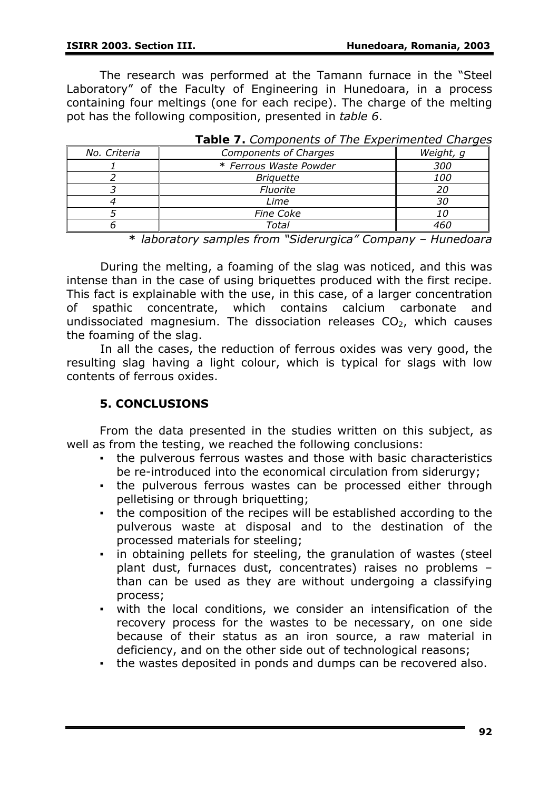The research was performed at the Tamann furnace in the "Steel Laboratory" of the Faculty of Engineering in Hunedoara, in a process containing four meltings (one for each recipe). The charge of the melting pot has the following composition, presented in *table 6*.

| No. Criteria | <b>Components of Charges</b> | Weight, g  |
|--------------|------------------------------|------------|
|              | * Ferrous Waste Powder       | 300        |
|              | <b>Briguette</b>             | <i>100</i> |
|              | Fluorite                     | 20         |
|              | Lime                         | 3С         |
|              | <b>Fine Coke</b>             |            |
|              | Total                        | 461        |

|  |  |  | Table 7. Components of The Experimented Charges |  |
|--|--|--|-------------------------------------------------|--|
|--|--|--|-------------------------------------------------|--|

*\* laboratory samples from "Siderurgica" Company – Hunedoara* 

 During the melting, a foaming of the slag was noticed, and this was intense than in the case of using briquettes produced with the first recipe. This fact is explainable with the use, in this case, of a larger concentration of spathic concentrate, which contains calcium carbonate and undissociated magnesium. The dissociation releases  $CO<sub>2</sub>$ , which causes the foaming of the slag.

 In all the cases, the reduction of ferrous oxides was very good, the resulting slag having a light colour, which is typical for slags with low contents of ferrous oxides.

## **5. CONCLUSIONS**

From the data presented in the studies written on this subject, as well as from the testing, we reached the following conclusions:

- the pulverous ferrous wastes and those with basic characteristics be re-introduced into the economical circulation from siderurgy;
- . the pulverous ferrous wastes can be processed either through pelletising or through briquetting;
- the composition of the recipes will be established according to the pulverous waste at disposal and to the destination of the processed materials for steeling;
- in obtaining pellets for steeling, the granulation of wastes (steel plant dust, furnaces dust, concentrates) raises no problems – than can be used as they are without undergoing a classifying process;
- with the local conditions, we consider an intensification of the recovery process for the wastes to be necessary, on one side because of their status as an iron source, a raw material in deficiency, and on the other side out of technological reasons;
- the wastes deposited in ponds and dumps can be recovered also.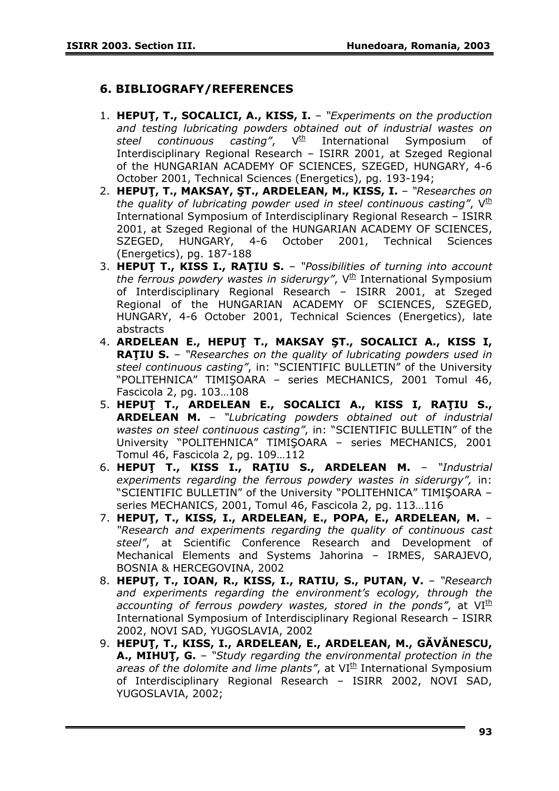## **6. BIBLIOGRAFY/REFERENCES**

- 1. **HEPUŢ, T., SOCALICI, A., KISS, I.**  *"Experiments on the production and testing lubricating powders obtained out of industrial wastes on*  steel continuous casting", V<sup>th</sup> International Symposium of Interdisciplinary Regional Research – ISIRR 2001, at Szeged Regional of the HUNGARIAN ACADEMY OF SCIENCES, SZEGED, HUNGARY, 4-6 October 2001, Technical Sciences (Energetics), pg. 193-194;
- 2. **HEPUŢ, T., MAKSAY, ŞT., ARDELEAN, M., KISS, I.**  *"Researches on the quality of lubricating powder used in steel continuous casting"*,  $V^{\text{th}}$ International Symposium of Interdisciplinary Regional Research – ISIRR 2001, at Szeged Regional of the HUNGARIAN ACADEMY OF SCIENCES, SZEGED, HUNGARY, 4-6 October 2001, Technical Sciences (Energetics), pg. 187-188
- 3. **HEPUŢ T., KISS I., RAŢIU S.** *"Possibilities of turning into account*  the ferrous powdery wastes in siderurgy", V<sup>th</sup> International Symposium of Interdisciplinary Regional Research – ISIRR 2001, at Szeged Regional of the HUNGARIAN ACADEMY OF SCIENCES, SZEGED, HUNGARY, 4-6 October 2001, Technical Sciences (Energetics), late abstracts
- 4. **ARDELEAN E., HEPUŢ T., MAKSAY ŞT., SOCALICI A., KISS I, RAŢIU S.** – *"Researches on the quality of lubricating powders used in steel continuous casting"*, in: "SCIENTIFIC BULLETIN" of the University "POLITEHNICA" TIMIŞOARA – series MECHANICS, 2001 Tomul 46, Fascicola 2, pg. 103…108
- 5. **HEPUŢ T., ARDELEAN E., SOCALICI A., KISS I, RAŢIU S., ARDELEAN M.** – *"Lubricating powders obtained out of industrial wastes on steel continuous casting"*, in: "SCIENTIFIC BULLETIN" of the University "POLITEHNICA" TIMIŞOARA – series MECHANICS, 2001 Tomul 46, Fascicola 2, pg. 109…112
- 6. **HEPUŢ T., KISS I., RAŢIU S., ARDELEAN M.** *"Industrial experiments regarding the ferrous powdery wastes in siderurgy",* in: "SCIENTIFIC BULLETIN" of the University "POLITEHNICA" TIMIŞOARA – series MECHANICS, 2001, Tomul 46, Fascicola 2, pg. 113…116
- 7. **HEPUŢ, T., KISS, I., ARDELEAN, E., POPA, E., ARDELEAN, M.**  *"Research and experiments regarding the quality of continuous cast steel"*, at Scientific Conference Research and Development of Mechanical Elements and Systems Jahorina – IRMES, SARAJEVO, BOSNIA & HERCEGOVINA, 2002
- 8. **HEPUŢ, T., IOAN, R., KISS, I., RATIU, S., PUTAN, V.**  *"Research and experiments regarding the environment's ecology, through the accounting of ferrous powdery wastes, stored in the ponds"*, at VI<sup>th</sup> International Symposium of Interdisciplinary Regional Research – ISIRR 2002, NOVI SAD, YUGOSLAVIA, 2002
- 9. **HEPUŢ, T., KISS, I., ARDELEAN, E., ARDELEAN, M., GĂVĂNESCU, A., MIHUŢ, G.** – *"Study regarding the environmental protection in the areas of the dolomite and lime plants"*, at VI<sup>th</sup> International Symposium of Interdisciplinary Regional Research – ISIRR 2002, NOVI SAD, YUGOSLAVIA, 2002;